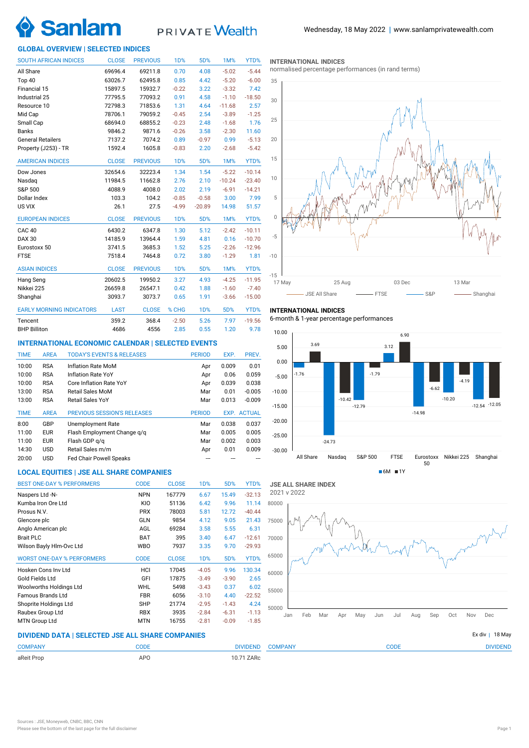

# PRIVATE Wealth

# **GLOBAL OVERVIEW | SELECTED INDICES**

| <b>SOUTH AFRICAN INDICES</b>    | <b>CLOSE</b> | <b>PREVIOUS</b> | 1 <sub>D</sub> % | 5D%              | 1M%      | YTD%     |
|---------------------------------|--------------|-----------------|------------------|------------------|----------|----------|
| All Share                       | 69696.4      | 69211.8         | 0.70             | 4.08             | $-5.02$  | $-5.44$  |
| Top 40                          | 63026.7      | 62495.8         | 0.85             | 4.42             | $-5.20$  | $-6.00$  |
| Financial 15                    | 15897.5      | 15932.7         | $-0.22$          | 3.22             | $-3.32$  | 7.42     |
| Industrial 25                   | 77795.5      | 77093.2         | 0.91             | 4.58             | $-1.10$  | $-18.50$ |
| Resource 10                     | 72798.3      | 71853.6         | 1.31             | 4.64             | $-11.68$ | 2.57     |
| Mid Cap                         | 78706.1      | 79059.2         | $-0.45$          | 2.54             | $-3.89$  | $-1.25$  |
| Small Cap                       | 68694.0      | 68855.2         | $-0.23$          | 2.48             | $-1.68$  | 1.76     |
| <b>Banks</b>                    | 9846.2       | 9871.6          | $-0.26$          | 3.58             | $-2.30$  | 11.60    |
| <b>General Retailers</b>        | 7137.2       | 7074.2          | 0.89             | $-0.97$          | 0.99     | $-5.13$  |
| Property (J253) - TR            | 1592.4       | 1605.8          | $-0.83$          | 2.20             | $-2.68$  | $-5.42$  |
| <b>AMERICAN INDICES</b>         | <b>CLOSE</b> | <b>PREVIOUS</b> | 1D%              | 5D%              | 1M%      | YTD%     |
| Dow Jones                       | 32654.6      | 32223.4         | 1.34             | 1.54             | $-5.22$  | $-10.14$ |
| Nasdaq                          | 11984.5      | 11662.8         | 2.76             | 2.10             | $-10.24$ | $-23.40$ |
| S&P 500                         | 4088.9       | 4008.0          | 2.02             | 2.19             | $-6.91$  | $-14.21$ |
| Dollar Index                    | 103.3        | 104.2           | $-0.85$          | $-0.58$          | 3.00     | 7.99     |
| US VIX                          | 26.1         | 27.5            | $-4.99$          | $-20.89$         | 14.98    | 51.57    |
| <b>EUROPEAN INDICES</b>         | <b>CLOSE</b> | <b>PREVIOUS</b> | <b>1D%</b>       | 5D%              | 1M%      | YTD%     |
| CAC <sub>40</sub>               | 6430.2       | 6347.8          | 1.30             | 5.12             | $-2.42$  | $-10.11$ |
| <b>DAX 30</b>                   | 14185.9      | 13964.4         | 1.59             | 4.81             | 0.16     | $-10.70$ |
| Eurostoxx 50                    | 3741.5       | 3685.3          | 1.52             | 5.25             | $-2.26$  | $-12.96$ |
| <b>FTSE</b>                     | 7518.4       | 7464.8          | 0.72             | 3.80             | $-1.29$  | 1.81     |
| <b>ASIAN INDICES</b>            | <b>CLOSE</b> | <b>PREVIOUS</b> | 1 <sub>D</sub> % | 5D%              | 1M%      | YTD%     |
| Hang Seng                       | 20602.5      | 19950.2         | 3.27             | 4.93             | $-4.25$  | $-11.95$ |
| Nikkei 225                      | 26659.8      | 26547.1         | 0.42             | 1.88             | $-1.60$  | $-7.40$  |
| Shanghai                        | 3093.7       | 3073.7          | 0.65             | 1.91             | $-3.66$  | $-15.00$ |
| <b>EARLY MORNING INDICATORS</b> | <b>LAST</b>  | <b>CLOSE</b>    | % CHG            | 1 <sub>D</sub> % | 5D%      | YTD%     |
| Tencent                         | 359.2        | 368.4           | $-2.50$          | 5.26             | 7.97     | $-19.56$ |
| <b>BHP Billiton</b>             | 4686         | 4556            | 2.85             | 0.55             | 1.20     | 9.78     |

# **INTERNATIONAL ECONOMIC CALENDAR | SELECTED EVENTS**

| <b>TIME</b> | <b>AREA</b> | <b>TODAY'S EVENTS &amp; RELEASES</b> | <b>PERIOD</b> | EXP.  | PREV.              |
|-------------|-------------|--------------------------------------|---------------|-------|--------------------|
| 10:00       | <b>RSA</b>  | Inflation Rate MoM                   | Apr           | 0.009 | 0.01               |
| 10:00       | <b>RSA</b>  | Inflation Rate YoY                   | Apr           | 0.06  | 0.059              |
| 10:00       | <b>RSA</b>  | Core Inflation Rate YoY              | Apr           | 0.039 | 0.038              |
| 13:00       | <b>RSA</b>  | <b>Retail Sales MoM</b>              | Mar           | 0.01  | $-0.005$           |
| 13:00       | <b>RSA</b>  | Retail Sales YoY                     | Mar           | 0.013 | $-0.009$           |
|             |             |                                      |               |       |                    |
| <b>TIME</b> | <b>AREA</b> | <b>PREVIOUS SESSION'S RELEASES</b>   | <b>PERIOD</b> |       | <b>EXP. ACTUAL</b> |
| 8:00        | GBP         | Unemployment Rate                    | Mar           | 0.038 | 0.037              |
| 11:00       | <b>EUR</b>  | Flash Employment Change g/g          | Mar           | 0.005 | 0.005              |
| 11:00       | <b>EUR</b>  | Flash GDP q/q                        | Mar           | 0.002 | 0.003              |
| 14:30       | <b>USD</b>  | Retail Sales m/m                     | Apr           | 0.01  | 0.009              |

# **LOCAL EQUITIES | JSE ALL SHARE COMPANIES**

| <b>BEST ONE-DAY % PERFORMERS</b>  | <b>CODE</b> | <b>CLOSE</b> | 1 <sub>D</sub> % | 5D%     | YTD%     |
|-----------------------------------|-------------|--------------|------------------|---------|----------|
| Naspers Ltd -N-                   | <b>NPN</b>  | 167779       | 6.67             | 15.49   | $-32.13$ |
| Kumba Iron Ore Ltd                | KIO         | 51136        | 6.42             | 9.96    | 11.14    |
| Prosus N.V.                       | <b>PRX</b>  | 78003        | 5.81             | 12.72   | $-40.44$ |
| Glencore plc                      | GLN         | 9854         | 4.12             | 9.05    | 21.43    |
| Anglo American plc                | AGL         | 69284        | 3.58             | 5.55    | 6.31     |
| <b>Brait PLC</b>                  | <b>BAT</b>  | 395          | 3.40             | 6.47    | $-12.61$ |
| Wilson Bayly Hlm-Ovc Ltd          | <b>WBO</b>  | 7937         | 3.35             | 9.70    | $-29.93$ |
| <b>WORST ONE-DAY % PERFORMERS</b> | <b>CODE</b> | <b>CLOSE</b> | 1 <sub>D</sub> % | 5D%     | YTD%     |
| Hosken Cons Inv Ltd               | HCI         | 17045        | $-4.05$          | 9.96    | 130.34   |
| Gold Fields Ltd                   | GFI         | 17875        | $-3.49$          | $-3.90$ | 2.65     |
| Woolworths Holdings Ltd           | <b>WHL</b>  | 5498         | $-3.43$          | 0.37    | 6.02     |
| Famous Brands Ltd                 | <b>FBR</b>  | 6056         | $-3.10$          | 4.40    | $-22.52$ |
| Shoprite Holdings Ltd             | <b>SHP</b>  | 21774        | $-2.95$          | $-1.43$ | 4.24     |
| Raubex Group Ltd                  | <b>RBX</b>  | 3935         | $-2.84$          | $-6.31$ | $-1.13$  |
| <b>MTN Group Ltd</b>              | <b>MTN</b>  | 16755        | $-2.81$          | $-0.09$ | $-1.85$  |

### **INTERNATIONAL INDICES**

normalised percentage performances (in rand terms)



# **INTERNATIONAL INDICES**

6-month & 1-year percentage performances





# **DIVIDEND DATA | SELECTED JSE ALL SHARE COMPANIES |**

| <b>COMPANY</b> | CODE   | <b>COMPANY</b><br><b>DIVIDEND</b> | CODE | <b>DIVIDEND</b> |
|----------------|--------|-----------------------------------|------|-----------------|
| aReit Prop     | $AP^c$ | 10.71 ZARc                        |      |                 |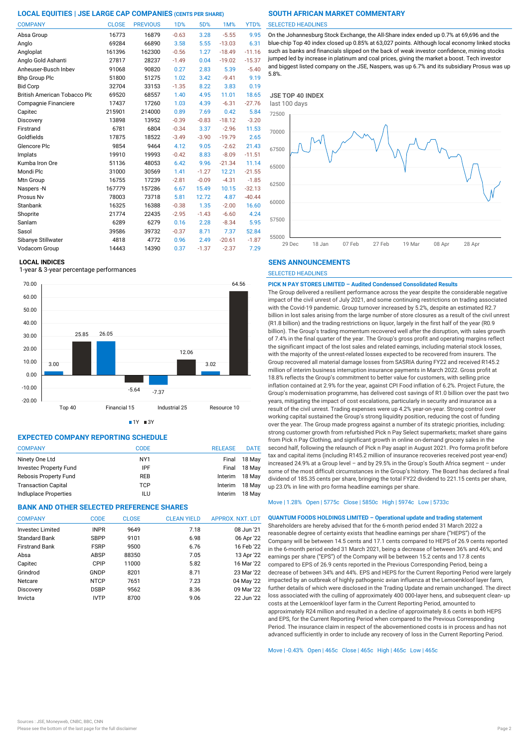| <b>COMPANY</b>               | <b>CLOSE</b> | <b>PREVIOUS</b> | 1 <sub>D</sub> % | 5D%     | 1M%      | YTD%     |
|------------------------------|--------------|-----------------|------------------|---------|----------|----------|
| Absa Group                   | 16773        | 16879           | $-0.63$          | 3.28    | $-5.55$  | 9.95     |
| Anglo                        | 69284        | 66890           | 3.58             | 5.55    | $-13.03$ | 6.31     |
| Angloplat                    | 161396       | 162300          | $-0.56$          | 1.27    | $-18.49$ | $-11.16$ |
| Anglo Gold Ashanti           | 27817        | 28237           | $-1.49$          | 0.04    | $-19.02$ | $-15.37$ |
| Anheuser-Busch Inbev         | 91068        | 90820           | 0.27             | 2.83    | 5.39     | $-5.40$  |
| <b>Bhp Group Plc</b>         | 51800        | 51275           | 1.02             | 3.42    | $-9.41$  | 9.19     |
| <b>Bid Corp</b>              | 32704        | 33153           | $-1.35$          | 8.22    | 3.83     | 0.19     |
| British American Tobacco Plo | 69520        | 68557           | 1.40             | 4.95    | 11.01    | 18.65    |
| Compagnie Financiere         | 17437        | 17260           | 1.03             | 4.39    | $-6.31$  | $-27.76$ |
| Capitec                      | 215901       | 214000          | 0.89             | 7.69    | 0.42     | 5.84     |
| Discovery                    | 13898        | 13952           | $-0.39$          | $-0.83$ | $-18.12$ | $-3.20$  |
| Firstrand                    | 6781         | 6804            | $-0.34$          | 3.37    | $-2.96$  | 11.53    |
| Goldfields                   | 17875        | 18522           | $-3.49$          | $-3.90$ | $-19.79$ | 2.65     |
| Glencore Plc                 | 9854         | 9464            | 4.12             | 9.05    | $-2.62$  | 21.43    |
| Implats                      | 19910        | 19993           | $-0.42$          | 8.83    | $-8.09$  | $-11.51$ |
| Kumba Iron Ore               | 51136        | 48053           | 6.42             | 9.96    | $-21.34$ | 11.14    |
| Mondi Plc                    | 31000        | 30569           | 1.41             | $-1.27$ | 12.21    | $-21.55$ |
| Mtn Group                    | 16755        | 17239           | $-2.81$          | $-0.09$ | $-4.31$  | $-1.85$  |
| Naspers-N                    | 167779       | 157286          | 6.67             | 15.49   | 10.15    | $-32.13$ |
| Prosus Nv                    | 78003        | 73718           | 5.81             | 12.72   | 4.87     | $-40.44$ |
| Stanbank                     | 16325        | 16388           | $-0.38$          | 1.35    | $-2.00$  | 16.60    |
| Shoprite                     | 21774        | 22435           | $-2.95$          | $-1.43$ | $-6.60$  | 4.24     |
| Sanlam                       | 6289         | 6279            | 0.16             | 2.28    | $-8.34$  | 5.95     |
| Sasol                        | 39586        | 39732           | $-0.37$          | 8.71    | 7.37     | 52.84    |
| Sibanye Stillwater           | 4818         | 4772            | 0.96             | 2.49    | $-20.61$ | $-1.87$  |
| Vodacom Group                | 14443        | 14390           | 0.37             | $-1.37$ | $-2.37$  | 7.29     |

### **LOCAL INDICES**

1-year & 3-year percentage performances



# $1Y = 3Y$

# **EXPECTED COMPANY REPORTING SCHEDULE**

| <b>COMPANY</b>             | CODE            | <b>RELEASE</b> | <b>DATE</b> |
|----------------------------|-----------------|----------------|-------------|
| Ninety One Ltd             | NY <sub>1</sub> | Final          | 18 May      |
| Investec Property Fund     | IPF             | Final          | 18 May      |
| Rebosis Property Fund      | <b>REB</b>      | Interim        | 18 May      |
| <b>Transaction Capital</b> | <b>TCP</b>      | Interim        | 18 May      |
| Indiuplace Properties      | ILU             | Interim        | 18 May      |

# **BANK AND OTHER SELECTED PREFERENCE SHARES**

| <b>COMPANY</b>          | <b>CODE</b> | <b>CLOSE</b> | <b>CLEAN YIELD</b> | APPROX. NXT. LDT |
|-------------------------|-------------|--------------|--------------------|------------------|
| <b>Investec Limited</b> | <b>INPR</b> | 9649         | 7.18               | 08 Jun '21       |
| <b>Standard Bank</b>    | <b>SBPP</b> | 9101         | 6.98               | 06 Apr '22       |
| <b>Firstrand Bank</b>   | <b>FSRP</b> | 9500         | 6.76               | 16 Feb '22       |
| Absa                    | ABSP        | 88350        | 7.05               | 13 Apr '22       |
| Capitec                 | <b>CPIP</b> | 11000        | 5.82               | 16 Mar '22       |
| Grindrod                | GNDP        | 8201         | 8.71               | 23 Mar '22       |
| Netcare                 | <b>NTCP</b> | 7651         | 7.23               | 04 May '22       |
| Discovery               | <b>DSBP</b> | 9562         | 8.36               | 09 Mar '22       |
| Invicta                 | <b>IVTP</b> | 8700         | 9.06               | 22 Jun '22       |

### SELECTED HEADLINES

On the Johannesburg Stock Exchange, the All-Share index ended up 0.7% at 69,696 and the blue-chip Top 40 index closed up 0.85% at 63,027 points. Although local economy linked stocks such as banks and financials slipped on the back of weak investor confidence, mining stocks jumped led by increase in platinum and coal prices, giving the market a boost. Tech investor and biggest listed company on the JSE, Naspers, was up 6.7% and its subsidiary Prosus was up 5.8%.



### **SENS ANNOUNCEMENTS**

SELECTED HEADLINES

#### **PICK N PAY STORES LIMITED – Audited Condensed Consolidated Results**

The Group delivered a resilient performance across the year despite the considerable negative impact of the civil unrest of July 2021, and some continuing restrictions on trading associated with the Covid-19 pandemic. Group turnover increased by 5.2%, despite an estimated R2.7 billion in lost sales arising from the large number of store closures as a result of the civil unrest (R1.8 billion) and the trading restrictions on liquor, largely in the first half of the year (R0.9 billion). The Group's trading momentum recovered well after the disruption, with sales growth of 7.4% in the final quarter of the year. The Group's gross profit and operating margins reflect the significant impact of the lost sales and related earnings, including material stock losses, with the majority of the unrest-related losses expected to be recovered from insurers. The Group recovered all material damage losses from SASRIA during FY22 and received R145.2 million of interim business interruption insurance payments in March 2022. Gross profit at 18.8% reflects the Group's commitment to better value for customers, with selling price inflation contained at 2.9% for the year, against CPI Food inflation of 6.2%. Project Future, the Group's modernisation programme, has delivered cost savings of R1.0 billion over the past two years, mitigating the impact of cost escalations, particularly in security and insurance as a result of the civil unrest. Trading expenses were up 4.2% year-on-year. Strong control over working capital sustained the Group's strong liquidity position, reducing the cost of funding over the year. The Group made progress against a number of its strategic priorities, including: strong customer growth from refurbished Pick n Pay Select supermarkets; market share gains from Pick n Pay Clothing, and significant growth in online on-demand grocery sales in the second half, following the relaunch of Pick n Pay asap! in August 2021. Pro forma profit before tax and capital items (including R145.2 million of insurance recoveries received post year-end) increased 24.9% at a Group level – and by 29.5% in the Group's South Africa segment – under some of the most difficult circumstances in the Group's history. The Board has declared a final dividend of 185.35 cents per share, bringing the total FY22 dividend to 221.15 cents per share, up 23.0% in line with pro forma headline earnings per share.

# Move | 1.28% Open | 5775c Close | 5850c High | 5974c Low | 5733c

**QUANTUM FOODS HOLDINGS LIMITED – Operational update and trading statement** Shareholders are hereby advised that for the 6-month period ended 31 March 2022 a reasonable degree of certainty exists that headline earnings per share ("HEPS") of the Company will be between 14.5 cents and 17.1 cents compared to HEPS of 26.9 cents reported in the 6-month period ended 31 March 2021, being a decrease of between 36% and 46%; and earnings per share ("EPS") of the Company will be between 15.2 cents and 17.8 cents compared to EPS of 26.9 cents reported in the Previous Corresponding Period, being a decrease of between 34% and 44%. EPS and HEPS for the Current Reporting Period were largely impacted by an outbreak of highly pathogenic avian influenza at the Lemoenkloof layer farm, further details of which were disclosed in the Trading Update and remain unchanged. The direct loss associated with the culling of approximately 400 000-layer hens, and subsequent clean- up costs at the Lemoenkloof layer farm in the Current Reporting Period, amounted to approximately R24 million and resulted in a decline of approximately 8.6 cents in both HEPS and EPS, for the Current Reporting Period when compared to the Previous Corresponding Period. The insurance claim in respect of the abovementioned costs is in process and has not advanced sufficiently in order to include any recovery of loss in the Current Reporting Period.

Move | -0.43% Open | 465c Close | 465c High | 465c Low | 465c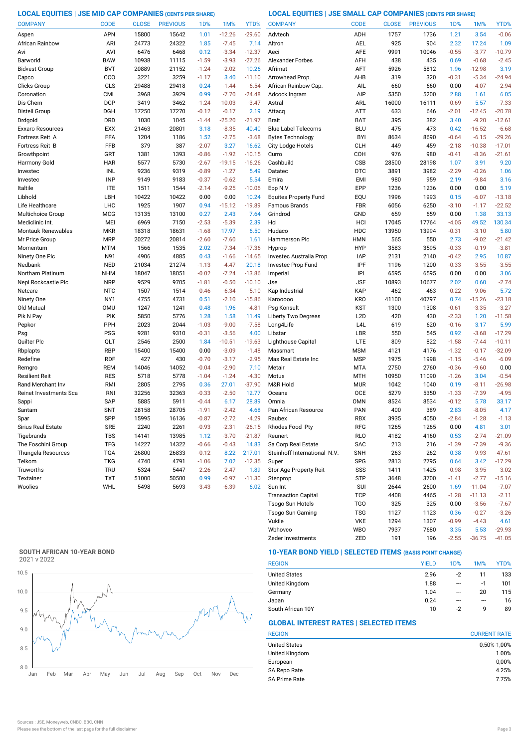**LOCAL EQUITIES | JSE MID CAP COMPANIES (CENTS PER SHARE) LOCAL EQUITIES | JSE SMALL CAP COMPANIES (CENTS PER SHARE)**

| <b>COMPANY</b>            | <b>CODE</b> | <b>CLOSE</b> | <b>PREVIOUS</b> | 1 <sub>D</sub> % | 1M%      | YTD%     | <b>COMPANY</b>               | <b>CODE</b>      | <b>CLOSE</b> | <b>PREVIOUS</b> | 1D%     | 1M%      | YTD%     |
|---------------------------|-------------|--------------|-----------------|------------------|----------|----------|------------------------------|------------------|--------------|-----------------|---------|----------|----------|
| Aspen                     | APN         | 15800        | 15642           | 1.01             | $-12.26$ | $-29.60$ | Advtech                      | ADH              | 1757         | 1736            | 1.21    | 3.54     | $-0.06$  |
| African Rainbow           | ARI         | 24773        | 24322           | 1.85             | $-7.45$  | 7.14     | Altron                       | AEL              | 925          | 904             | 2.32    | 17.24    | 1.09     |
| Avi                       | AVI         | 6476         | 6468            | 0.12             | $-3.34$  | $-12.37$ | Aeci                         | <b>AFE</b>       | 9991         | 10046           | $-0.55$ | $-3.77$  | $-10.79$ |
| Barworld                  | <b>BAW</b>  | 10938        | 11115           | $-1.59$          | $-3.93$  | $-27.26$ | <b>Alexander Forbes</b>      | AFH              | 438          | 435             | 0.69    | $-0.68$  | $-2.45$  |
| <b>Bidvest Group</b>      | <b>BVT</b>  | 20889        | 21152           | $-1.24$          | $-2.02$  | 10.26    | Afrimat                      | AFT              | 5926         | 5812            | 1.96    | $-12.98$ | 3.19     |
| Capco                     | CCO         | 3221         | 3259            | $-1.17$          | 3.40     | $-11.10$ | Arrowhead Prop               | AHB              | 319          | 320             | $-0.31$ | $-5.34$  | $-24.94$ |
| Clicks Group              | CLS         | 29488        | 29418           | 0.24             | $-1.44$  | $-6.54$  | African Rainbow Cap.         | AIL              | 660          | 660             | 0.00    | $-4.07$  | $-2.94$  |
| Coronation                | <b>CML</b>  | 3968         | 3929            | 0.99             | $-7.70$  | $-24.48$ | Adcock Ingram                | AIP              | 5350         | 5200            | 2.88    | 1.61     | 6.05     |
| Dis-Chem                  | <b>DCP</b>  | 3419         | 3462            | $-1.24$          | $-10.03$ | $-3.47$  | Astral                       | ARL              | 16000        | 16111           | $-0.69$ | 5.57     | $-7.33$  |
| Distell Group             | DGH         | 17250        | 17270           | $-0.12$          | $-0.17$  | 2.19     | Attacq                       | <b>ATT</b>       | 633          | 646             | $-2.01$ | $-12.45$ | $-20.78$ |
| Drdgold                   | <b>DRD</b>  | 1030         | 1045            | $-1.44$          | $-25.20$ | $-21.97$ | <b>Brait</b>                 | <b>BAT</b>       | 395          | 382             | 3.40    | $-9.20$  | $-12.61$ |
| Exxaro Resources          | <b>EXX</b>  | 21463        | 20801           | 3.18             | $-8.35$  | 40.40    | <b>Blue Label Telecoms</b>   | <b>BLU</b>       | 475          | 473             | 0.42    | $-16.52$ | $-6.68$  |
| Fortress Reit A           | FFA         | 1204         | 1186            | 1.52             | $-2.75$  | $-3.68$  | <b>Bytes Technology</b>      | <b>BYI</b>       | 8634         | 8690            | $-0.64$ | $-6.15$  | $-29.26$ |
| Fortress Reit B           | <b>FFB</b>  | 379          | 387             | $-2.07$          | 3.27     | 16.62    | City Lodge Hotels            | <b>CLH</b>       | 449          | 459             | $-2.18$ | $-10.38$ | $-17.01$ |
| Growthpoint               | GRT         | 1381         | 1393            | $-0.86$          | $-1.92$  | $-10.15$ | Curro                        | COH              | 976          | 980             | $-0.41$ | $-8.36$  | $-21.61$ |
| Harmony Gold              | <b>HAR</b>  | 5577         | 5730            | $-2.67$          | $-19.15$ | $-16.26$ | Cashbuild                    | <b>CSB</b>       | 28500        | 28198           | 1.07    | 3.91     | 9.20     |
| Investec                  | INL         | 9236         | 9319            | $-0.89$          | $-1.27$  | 5.49     | Datatec                      | <b>DTC</b>       | 3891         | 3982            | $-2.29$ | $-0.26$  | 1.06     |
| Investec                  | <b>INP</b>  | 9149         | 9183            | $-0.37$          | $-0.62$  | 5.54     | Emira                        | <b>EMI</b>       | 980          | 959             | 2.19    | $-9.84$  | 3.16     |
| Italtile                  | <b>ITE</b>  | 1511         | 1544            | $-2.14$          | $-9.25$  | $-10.06$ | Epp N.V                      | EPP              | 1236         | 1236            | 0.00    | 0.00     | 5.19     |
| Libhold                   | LBH         | 10422        | 10422           | 0.00             | 0.00     | 10.24    | <b>Equites Property Fund</b> | EQU              | 1996         | 1993            | 0.15    | $-6.07$  | $-13.18$ |
| Life Healthcare           | LHC         | 1925         | 1907            | 0.94             | $-15.12$ | $-19.89$ | Famous Brands                | <b>FBR</b>       | 6056         | 6250            | $-3.10$ | $-1.17$  | $-22.52$ |
| Multichoice Group         | <b>MCG</b>  | 13135        | 13100           | 0.27             | 2.43     | 7.64     | Grindrod                     | GND              | 659          | 659             | 0.00    | 1.38     | 33.13    |
| Mediclinic Int.           | MEI         | 6969         | 7150            | $-2.53$          | $-5.39$  | 2.39     | Hci                          | HCI              | 17045        | 17764           | $-4.05$ | 49.52    | 130.34   |
| <b>Montauk Renewables</b> | <b>MKR</b>  | 18318        | 18631           | $-1.68$          | 17.97    | 6.50     | Hudaco                       | <b>HDC</b>       | 13950        | 13994           | $-0.31$ | $-3.10$  | 5.80     |
| Mr Price Group            | <b>MRP</b>  | 20272        | 20814           | $-2.60$          | $-7.60$  | 1.61     | Hammerson Plc                | <b>HMN</b>       | 565          | 550             | 2.73    | $-9.02$  | $-21.42$ |
| Momentum                  | MTM         | 1566         | 1535            | 2.02             | $-7.34$  | $-17.36$ | Hyprop                       | <b>HYP</b>       | 3583         | 3595            | $-0.33$ | $-0.19$  | $-3.81$  |
| Ninety One Plc            | N91         | 4906         | 4885            | 0.43             | $-1.66$  | $-14.65$ | Investec Australia Prop.     | <b>IAP</b>       | 2131         | 2140            | $-0.42$ | 2.95     | 10.87    |
| Nedbank                   | <b>NED</b>  | 21034        | 21274           | $-1.13$          | $-4.47$  | 20.18    | Investec Prop Fund           | IPF              | 1196         | 1200            | $-0.33$ | $-3.55$  | $-3.55$  |
| Northam Platinum          | <b>NHM</b>  | 18047        | 18051           | $-0.02$          | $-7.24$  | $-13.86$ | Imperial                     | <b>IPL</b>       | 6595         | 6595            | 0.00    | 0.00     | 3.06     |
| Nepi Rockcastle Plc       | <b>NRP</b>  | 9529         | 9705            | $-1.81$          | $-0.50$  | $-10.10$ | Jse                          | <b>JSE</b>       | 10893        | 10677           | 2.02    | 0.60     | $-2.74$  |
| Netcare                   | <b>NTC</b>  | 1507         | 1514            | $-0.46$          | $-6.34$  | $-5.10$  | Kap Industrial               | KAP              | 462          | 463             | $-0.22$ | $-9.06$  | 5.72     |
| Ninety One                | NY1         | 4755         | 4731            | 0.51             | $-2.10$  | $-15.86$ | Karooooo                     | <b>KRO</b>       | 41100        | 40797           | 0.74    | $-15.26$ | $-23.18$ |
| Old Mutual                | <b>OMU</b>  | 1247         | 1241            | 0.48             | 1.96     | $-4.81$  | Psg Konsult                  | <b>KST</b>       | 1300         | 1308            | $-0.61$ | $-3.35$  | $-3.27$  |
| Pik N Pay                 | PIK         | 5850         | 5776            | 1.28             | 1.58     | 11.49    | Liberty Two Degrees          | L <sub>2</sub> D | 420          | 430             | $-2.33$ | 1.20     | $-11.58$ |
| Pepkor                    | PPH         | 2023         | 2044            | $-1.03$          | $-9.00$  | $-7.58$  | Long4Life                    | L <sub>4</sub> L | 619          | 620             | $-0.16$ | 3.17     | 5.99     |
| Psg                       | <b>PSG</b>  | 9281         | 9310            | $-0.31$          | $-3.56$  | 4.00     | Libstar                      | LBR              | 550          | 545             | 0.92    | $-3.68$  | $-17.29$ |
| Quilter Plc               | QLT         | 2546         | 2500            | 1.84             | $-10.51$ | $-19.63$ | Lighthouse Capital           | LTE              | 809          | 822             | $-1.58$ | $-7.44$  | $-10.11$ |
| Rbplapts                  | <b>RBP</b>  | 15400        | 15400           | 0.00             | $-3.09$  | $-1.48$  | Massmart                     | <b>MSM</b>       | 4121         | 4176            | $-1.32$ | $-0.17$  | $-32.09$ |
| Redefine                  | <b>RDF</b>  | 427          | 430             | $-0.70$          | $-3.17$  | $-2.95$  | Mas Real Estate Inc          | <b>MSP</b>       | 1975         | 1998            | $-1.15$ | $-5.46$  | $-6.09$  |
| Remgro                    | <b>REM</b>  | 14046        | 14052           | $-0.04$          | $-2.90$  | 7.10     | Metair                       | <b>MTA</b>       | 2750         | 2760            | $-0.36$ | $-9.60$  | 0.00     |
| Resilient Reit            | <b>RES</b>  | 5718         | 5778            | $-1.04$          | $-1.24$  | $-4.30$  | Motus                        | <b>MTH</b>       | 10950        | 11090           | $-1.26$ | 3.04     | $-0.54$  |
| Rand Merchant Inv         | RMI         | 2805         | 2795            | 0.36             | 27.01    | $-37.90$ | M&R Hold                     | <b>MUR</b>       | 1042         | 1040            | 0.19    | $-8.11$  | $-26.98$ |
| Reinet Investments Sca    | <b>RNI</b>  | 32256        | 32363           | $-0.33$          | $-2.50$  | 12.77    | Oceana                       | <b>OCE</b>       | 5279         | 5350            | $-1.33$ | $-7.39$  | $-4.95$  |
| Sappi                     | <b>SAP</b>  | 5885         | 5911            | $-0.44$          | 6.17     | 28.89    | Omnia                        | <b>OMN</b>       | 8524         | 8534            | $-0.12$ | 5.78     | 33.17    |
| Santam                    | <b>SNT</b>  | 28158        | 28705           | $-1.91$          | $-2.42$  | 4.68     | Pan African Resource         | PAN              | 400          | 389             | 2.83    | $-8.05$  | 4.17     |
| Spar                      | SPP         | 15995        | 16136           | $-0.87$          | $-2.72$  | $-4.29$  | Raubex                       | <b>RBX</b>       | 3935         | 4050            | $-2.84$ | $-1.28$  | $-1.13$  |
| Sirius Real Estate        | <b>SRE</b>  | 2240         | 2261            | $-0.93$          | $-2.31$  | $-26.15$ | Rhodes Food Pty              | RFG              | 1265         | 1265            | 0.00    | 4.81     | 3.01     |
| Tigebrands                | <b>TBS</b>  | 14141        | 13985           | 1.12             | $-3.70$  | $-21.87$ | Reunert                      | <b>RLO</b>       | 4182         | 4160            | 0.53    | $-2.74$  | $-21.09$ |
| The Foschini Group        | <b>TFG</b>  | 14227        | 14322           | $-0.66$          | $-0.43$  | 14.83    | Sa Corp Real Estate          | SAC              | 213          | 216             | $-1.39$ | $-7.39$  | $-9.36$  |
| Thungela Resources        | <b>TGA</b>  | 26800        | 26833           | $-0.12$          | 8.22     | 217.01   | Steinhoff International N.V. | <b>SNH</b>       | 263          | 262             | 0.38    | $-9.93$  | $-47.61$ |
| Telkom                    | <b>TKG</b>  | 4740         | 4791            | $-1.06$          | 7.02     | $-12.35$ | Super                        | <b>SPG</b>       | 2813         | 2795            | 0.64    | 3.42     | $-17.29$ |
| Truworths                 | <b>TRU</b>  | 5324         | 5447            | $-2.26$          | $-2.47$  | 1.89     | Stor-Age Property Reit       | SSS              | 1411         | 1425            | $-0.98$ | $-3.95$  | $-3.02$  |
| Textainer                 | <b>TXT</b>  | 51000        | 50500           | 0.99             | $-0.97$  | $-11.30$ | Stenprop                     | STP              | 3648         | 3700            | $-1.41$ | $-2.77$  | $-15.16$ |
| Woolies                   | WHL         | 5498         | 5693            | $-3.43$          | $-6.39$  | 6.02     | Sun Int                      | SUI              | 2644         | 2600            | 1.69    | $-11.04$ | $-7.07$  |
|                           |             |              |                 |                  |          |          | <b>Transaction Capital</b>   | <b>TCP</b>       | 4408         | 4465            | $-1.28$ | $-11.13$ | $-2.11$  |
|                           |             |              |                 |                  |          |          | Tsogo Sun Hotels             | TGO              | 325          | 325             | 0.00    | $-3.56$  | $-7.67$  |

# **SOUTH AFRICAN 10-YEAR BOND**



# **10-YEAR BOND YIELD | SELECTED ITEMS (BASIS POINT CHANGE)**

| <b>REGION</b>        | <b>YIELD</b> | 1D%  | 1M%     | YTD% |
|----------------------|--------------|------|---------|------|
| <b>United States</b> | 2.96         | $-2$ | 11      | 133  |
| United Kingdom       | 1.88         | ---  | $-1$    | 101  |
| Germany              | 1.04         | ---  | 20      | 115  |
| Japan                | 0.24         | ---  | $- - -$ | 16   |
| South African 10Y    | 10           | -2   | q       | 89   |

Zeder Investments 2ED 191 196 -2.55 -36.75 -41.05

Wbhovco WBO 7937 7680 3.35 5.53 -29.93 Vukile VKE 1294 1307 -0.99 -4.43

Tsogo Sun Gaming TSG 1127 1123 0.36 -0.27 -3.26

# **GLOBAL INTEREST RATES | SELECTED ITEMS**

| <b>REGION</b>        | <b>CURRENT RATE</b> |
|----------------------|---------------------|
| <b>United States</b> | 0,50%-1,00%         |
| United Kingdom       | 1.00%               |
| European             | 0,00%               |
| SA Repo Rate         | 4.25%               |
| <b>SA Prime Rate</b> | 7.75%               |

 $4.61$ <br>-29.93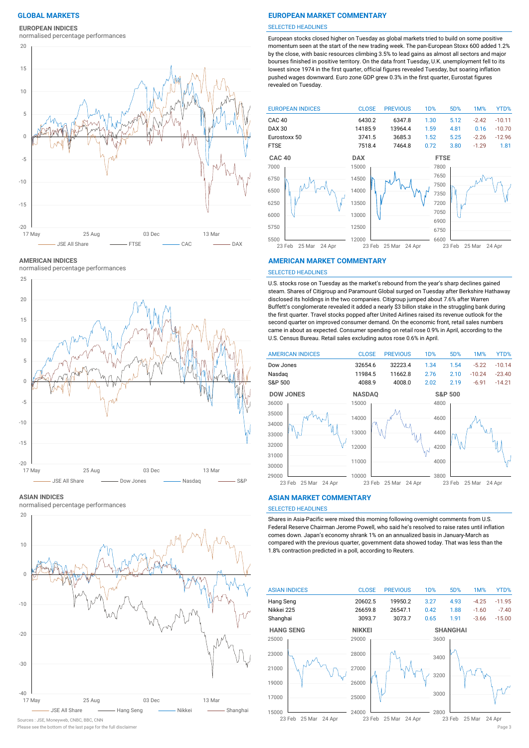**EUROPEAN INDICES**

normalised percentage performances



**AMERICAN INDICES**

normalised percentage performances



#### **ASIAN INDICES**

normalised percentage performances



Please see the bottom of the last page for the full disclaimer Page 3 Sources : JSE, Moneyweb, CNBC, BBC, CNN

# **GLOBAL MARKETS EUROPEAN MARKET COMMENTARY**

#### SELECTED HEADLINES

European stocks closed higher on Tuesday as global markets tried to build on some positive momentum seen at the start of the new trading week. The pan-European Stoxx 600 added 1.2% by the close, with basic resources climbing 3.5% to lead gains as almost all sectors and major bourses finished in positive territory. On the data front Tuesday, U.K. unemployment fell to its lowest since 1974 in the first quarter, official figures revealed Tuesday, but soaring inflation pushed wages downward. Euro zone GDP grew 0.3% in the first quarter, Eurostat figures revealed on Tuesday.



### **AMERICAN MARKET COMMENTARY**

#### SELECTED HEADLINES

U.S. stocks rose on Tuesday as the market's rebound from the year's sharp declines gained steam. Shares of Citigroup and Paramount Global surged on Tuesday after Berkshire Hathaway disclosed its holdings in the two companies. Citigroup jumped about 7.6% after Warren Buffett's conglomerate revealed it added a nearly \$3 billon stake in the struggling bank during the first quarter. Travel stocks popped after United Airlines raised its revenue outlook for the second quarter on improved consumer demand. On the economic front, retail sales numbers came in about as expected. Consumer spending on retail rose 0.9% in April, according to the U.S. Census Bureau. Retail sales excluding autos rose 0.6% in April.



#### **ASIAN MARKET COMMENTARY**

# SELECTED HEADLINES

Shares in Asia-Pacific were mixed this morning following overnight comments from U.S. Federal Reserve Chairman Jerome Powell, who said he's resolved to raise rates until inflation comes down. Japan's economy shrank 1% on an annualized basis in January-March as compared with the previous quarter, government data showed today. That was less than the 1.8% contraction predicted in a poll, according to Reuters.